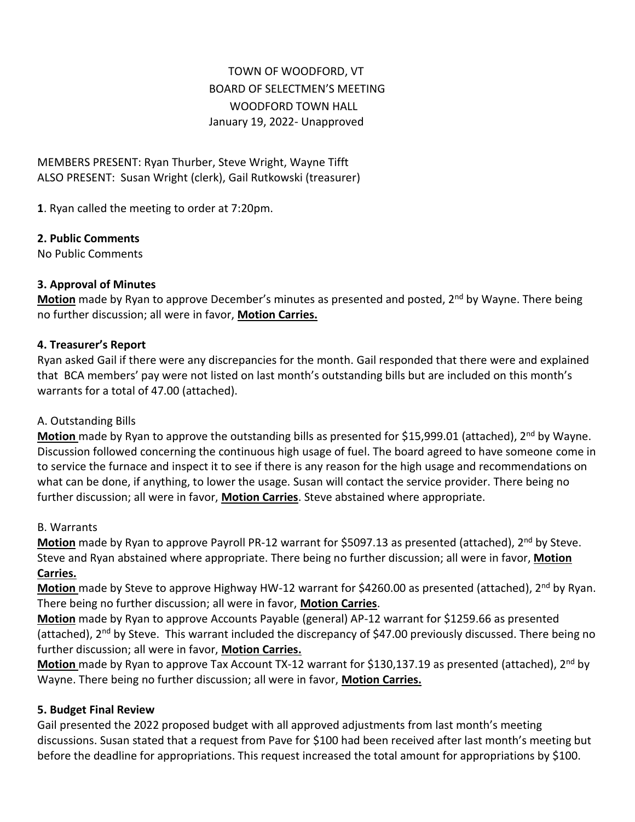# TOWN OF WOODFORD, VT BOARD OF SELECTMEN'S MEETING WOODFORD TOWN HALL January 19, 2022*-* Unapproved

MEMBERS PRESENT: Ryan Thurber, Steve Wright, Wayne Tifft ALSO PRESENT: Susan Wright (clerk), Gail Rutkowski (treasurer)

**1**. Ryan called the meeting to order at 7:20pm.

### **2. Public Comments**

No Public Comments

### **3. Approval of Minutes**

**Motion** made by Ryan to approve December's minutes as presented and posted, 2<sup>nd</sup> by Wayne. There being no further discussion; all were in favor, **Motion Carries.**

### **4. Treasurer's Report**

Ryan asked Gail if there were any discrepancies for the month. Gail responded that there were and explained that BCA members' pay were not listed on last month's outstanding bills but are included on this month's warrants for a total of 47.00 (attached).

### A. Outstanding Bills

**Motion** made by Ryan to approve the outstanding bills as presented for \$15,999.01 (attached), 2<sup>nd</sup> by Wayne. Discussion followed concerning the continuous high usage of fuel. The board agreed to have someone come in to service the furnace and inspect it to see if there is any reason for the high usage and recommendations on what can be done, if anything, to lower the usage. Susan will contact the service provider. There being no further discussion; all were in favor, **Motion Carries**. Steve abstained where appropriate.

### B. Warrants

**Motion** made by Ryan to approve Payroll PR-12 warrant for \$5097.13 as presented (attached), 2<sup>nd</sup> by Steve. Steve and Ryan abstained where appropriate. There being no further discussion; all were in favor, **Motion Carries.**

**Motion** made by Steve to approve Highway HW-12 warrant for \$4260.00 as presented (attached), 2nd by Ryan. There being no further discussion; all were in favor, **Motion Carries**.

**Motion** made by Ryan to approve Accounts Payable (general) AP-12 warrant for \$1259.66 as presented (attached), 2<sup>nd</sup> by Steve. This warrant included the discrepancy of \$47.00 previously discussed. There being no further discussion; all were in favor, **Motion Carries.**

**Motion** made by Ryan to approve Tax Account TX-12 warrant for \$130,137.19 as presented (attached), 2<sup>nd</sup> by Wayne. There being no further discussion; all were in favor, **Motion Carries.**

### **5. Budget Final Review**

Gail presented the 2022 proposed budget with all approved adjustments from last month's meeting discussions. Susan stated that a request from Pave for \$100 had been received after last month's meeting but before the deadline for appropriations. This request increased the total amount for appropriations by \$100.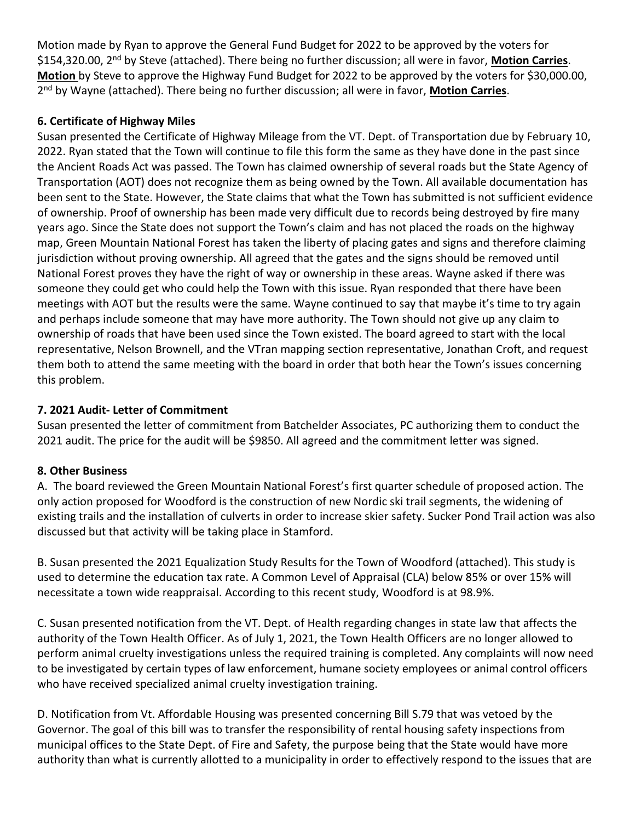Motion made by Ryan to approve the General Fund Budget for 2022 to be approved by the voters for \$154,320.00, 2nd by Steve (attached). There being no further discussion; all were in favor, **Motion Carries**. **Motion** by Steve to approve the Highway Fund Budget for 2022 to be approved by the voters for \$30,000.00, 2 nd by Wayne (attached). There being no further discussion; all were in favor, **Motion Carries**.

### **6. Certificate of Highway Miles**

Susan presented the Certificate of Highway Mileage from the VT. Dept. of Transportation due by February 10, 2022. Ryan stated that the Town will continue to file this form the same as they have done in the past since the Ancient Roads Act was passed. The Town has claimed ownership of several roads but the State Agency of Transportation (AOT) does not recognize them as being owned by the Town. All available documentation has been sent to the State. However, the State claims that what the Town has submitted is not sufficient evidence of ownership. Proof of ownership has been made very difficult due to records being destroyed by fire many years ago. Since the State does not support the Town's claim and has not placed the roads on the highway map, Green Mountain National Forest has taken the liberty of placing gates and signs and therefore claiming jurisdiction without proving ownership. All agreed that the gates and the signs should be removed until National Forest proves they have the right of way or ownership in these areas. Wayne asked if there was someone they could get who could help the Town with this issue. Ryan responded that there have been meetings with AOT but the results were the same. Wayne continued to say that maybe it's time to try again and perhaps include someone that may have more authority. The Town should not give up any claim to ownership of roads that have been used since the Town existed. The board agreed to start with the local representative, Nelson Brownell, and the VTran mapping section representative, Jonathan Croft, and request them both to attend the same meeting with the board in order that both hear the Town's issues concerning this problem.

## **7. 2021 Audit- Letter of Commitment**

Susan presented the letter of commitment from Batchelder Associates, PC authorizing them to conduct the 2021 audit. The price for the audit will be \$9850. All agreed and the commitment letter was signed.

### **8. Other Business**

A. The board reviewed the Green Mountain National Forest's first quarter schedule of proposed action. The only action proposed for Woodford is the construction of new Nordic ski trail segments, the widening of existing trails and the installation of culverts in order to increase skier safety. Sucker Pond Trail action was also discussed but that activity will be taking place in Stamford.

B. Susan presented the 2021 Equalization Study Results for the Town of Woodford (attached). This study is used to determine the education tax rate. A Common Level of Appraisal (CLA) below 85% or over 15% will necessitate a town wide reappraisal. According to this recent study, Woodford is at 98.9%.

C. Susan presented notification from the VT. Dept. of Health regarding changes in state law that affects the authority of the Town Health Officer. As of July 1, 2021, the Town Health Officers are no longer allowed to perform animal cruelty investigations unless the required training is completed. Any complaints will now need to be investigated by certain types of law enforcement, humane society employees or animal control officers who have received specialized animal cruelty investigation training.

D. Notification from Vt. Affordable Housing was presented concerning Bill S.79 that was vetoed by the Governor. The goal of this bill was to transfer the responsibility of rental housing safety inspections from municipal offices to the State Dept. of Fire and Safety, the purpose being that the State would have more authority than what is currently allotted to a municipality in order to effectively respond to the issues that are